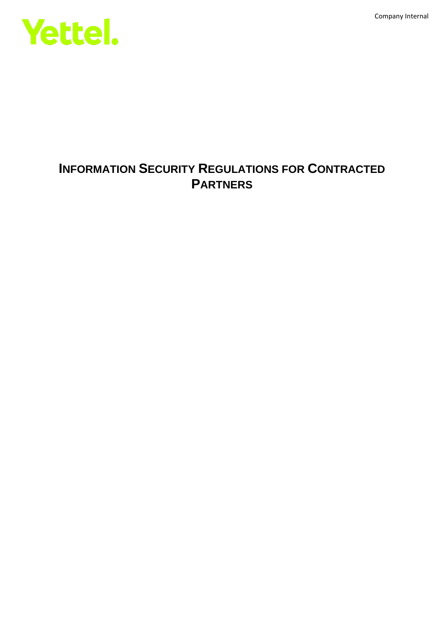Company Internal



## **INFORMATION SECURITY REGULATIONS FOR CONTRACTED PARTNERS**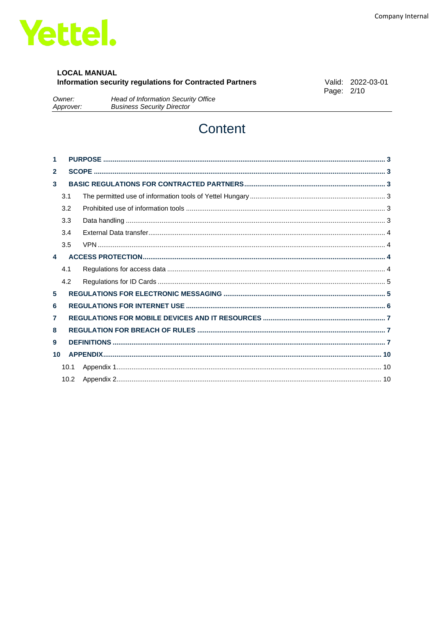

#### **LOCAL MANUAL** Information security regulations for Contracted Partners

Valid: 2022-03-01 Page: 2/10

Owner: Head of Information Security Office **Business Security Director** Approver:

# Content

| 1            |      |  |  |  |  |
|--------------|------|--|--|--|--|
| $\mathbf{2}$ |      |  |  |  |  |
| 3            |      |  |  |  |  |
|              | 3.1  |  |  |  |  |
|              | 3.2  |  |  |  |  |
|              | 3.3  |  |  |  |  |
|              | 3.4  |  |  |  |  |
|              | 3.5  |  |  |  |  |
| 4            |      |  |  |  |  |
|              | 4.1  |  |  |  |  |
|              | 4.2  |  |  |  |  |
| 5            |      |  |  |  |  |
| 6            |      |  |  |  |  |
| 7            |      |  |  |  |  |
| 8            |      |  |  |  |  |
| 9            |      |  |  |  |  |
| 10           |      |  |  |  |  |
|              | 10.1 |  |  |  |  |
|              | 10.2 |  |  |  |  |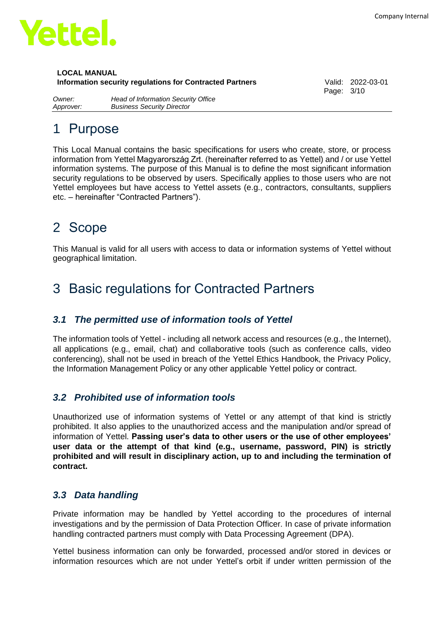

Page: 3/10

*Owner: Head of Information Security Office Approver: Business Security Director*

# <span id="page-2-0"></span>1 Purpose

This Local Manual contains the basic specifications for users who create, store, or process information from Yettel Magyarország Zrt. (hereinafter referred to as Yettel) and / or use Yettel information systems. The purpose of this Manual is to define the most significant information security regulations to be observed by users. Specifically applies to those users who are not Yettel employees but have access to Yettel assets (e.g., contractors, consultants, suppliers etc. – hereinafter "Contracted Partners").

## <span id="page-2-1"></span>2 Scope

This Manual is valid for all users with access to data or information systems of Yettel without geographical limitation.

# <span id="page-2-2"></span>3 Basic regulations for Contracted Partners

## <span id="page-2-3"></span>*3.1 The permitted use of information tools of Yettel*

The information tools of Yettel - including all network access and resources (e.g., the Internet), all applications (e.g., email, chat) and collaborative tools (such as conference calls, video conferencing), shall not be used in breach of the Yettel Ethics Handbook, the Privacy Policy, the Information Management Policy or any other applicable Yettel policy or contract.

## <span id="page-2-4"></span>*3.2 Prohibited use of information tools*

Unauthorized use of information systems of Yettel or any attempt of that kind is strictly prohibited. It also applies to the unauthorized access and the manipulation and/or spread of information of Yettel. **Passing user's data to other users or the use of other employees' user data or the attempt of that kind (e.g., username, password, PIN) is strictly prohibited and will result in disciplinary action, up to and including the termination of contract.** 

## <span id="page-2-5"></span>*3.3 Data handling*

Private information may be handled by Yettel according to the procedures of internal investigations and by the permission of Data Protection Officer. In case of private information handling contracted partners must comply with Data Processing Agreement (DPA).

Yettel business information can only be forwarded, processed and/or stored in devices or information resources which are not under Yettel's orbit if under written permission of the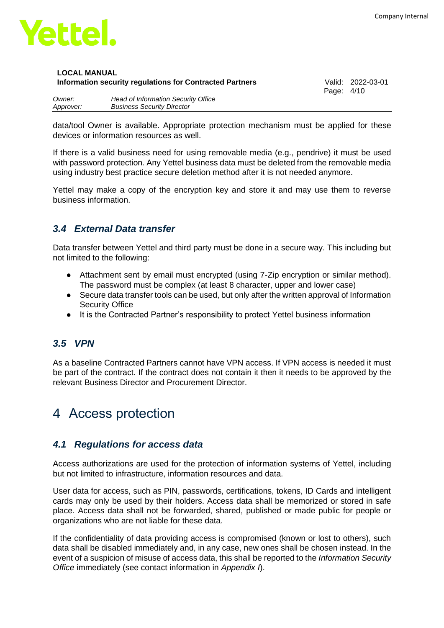

Page: 4/10

| Owner:    | Head of Information Security Office |
|-----------|-------------------------------------|
| Approver: | <b>Business Security Director</b>   |

data/tool Owner is available. Appropriate protection mechanism must be applied for these devices or information resources as well.

If there is a valid business need for using removable media (e.g., pendrive) it must be used with password protection. Any Yettel business data must be deleted from the removable media using industry best practice secure deletion method after it is not needed anymore.

Yettel may make a copy of the encryption key and store it and may use them to reverse business information.

### <span id="page-3-0"></span>*3.4 External Data transfer*

Data transfer between Yettel and third party must be done in a secure way. This including but not limited to the following:

- Attachment sent by email must encrypted (using 7-Zip encryption or similar method). The password must be complex (at least 8 character, upper and lower case)
- Secure data transfer tools can be used, but only after the written approval of Information Security Office
- It is the Contracted Partner's responsibility to protect Yettel business information

## <span id="page-3-1"></span>*3.5 VPN*

As a baseline Contracted Partners cannot have VPN access. If VPN access is needed it must be part of the contract. If the contract does not contain it then it needs to be approved by the relevant Business Director and Procurement Director.

# <span id="page-3-2"></span>4 Access protection

### <span id="page-3-3"></span>*4.1 Regulations for access data*

Access authorizations are used for the protection of information systems of Yettel, including but not limited to infrastructure, information resources and data.

User data for access, such as PIN, passwords, certifications, tokens, ID Cards and intelligent cards may only be used by their holders. Access data shall be memorized or stored in safe place. Access data shall not be forwarded, shared, published or made public for people or organizations who are not liable for these data.

If the confidentiality of data providing access is compromised (known or lost to others), such data shall be disabled immediately and, in any case, new ones shall be chosen instead. In the event of a suspicion of misuse of access data, this shall be reported to the *Information Security Office* immediately (see contact information in *Appendix I*).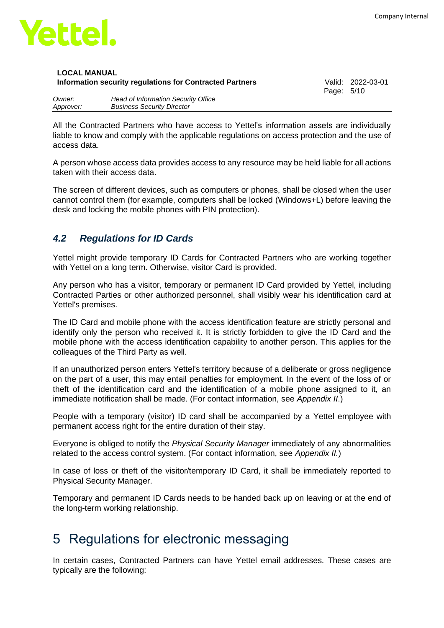

| <b>LOCAL MANUAL</b>                                      |  |
|----------------------------------------------------------|--|
| Information security regulations for Contracted Partners |  |

**Information security regulations for Contracted Partners** Valid: 2022-03-01 Page: 5/10

| Owner:    | Head of Information Security Office |
|-----------|-------------------------------------|
| Approver: | <b>Business Security Director</b>   |

All the Contracted Partners who have access to Yettel's information assets are individually liable to know and comply with the applicable regulations on access protection and the use of access data.

A person whose access data provides access to any resource may be held liable for all actions taken with their access data.

The screen of different devices, such as computers or phones, shall be closed when the user cannot control them (for example, computers shall be locked (Windows+L) before leaving the desk and locking the mobile phones with PIN protection).

### <span id="page-4-0"></span>*4.2 Regulations for ID Cards*

Yettel might provide temporary ID Cards for Contracted Partners who are working together with Yettel on a long term. Otherwise, visitor Card is provided.

Any person who has a visitor, temporary or permanent ID Card provided by Yettel, including Contracted Parties or other authorized personnel, shall visibly wear his identification card at Yettel's premises.

The ID Card and mobile phone with the access identification feature are strictly personal and identify only the person who received it. It is strictly forbidden to give the ID Card and the mobile phone with the access identification capability to another person. This applies for the colleagues of the Third Party as well.

If an unauthorized person enters Yettel's territory because of a deliberate or gross negligence on the part of a user, this may entail penalties for employment. In the event of the loss of or theft of the identification card and the identification of a mobile phone assigned to it, an immediate notification shall be made. (For contact information, see *Appendix II*.)

People with a temporary (visitor) ID card shall be accompanied by a Yettel employee with permanent access right for the entire duration of their stay.

Everyone is obliged to notify the *Physical Security Manager* immediately of any abnormalities related to the access control system. (For contact information, see *Appendix II.*)

In case of loss or theft of the visitor/temporary ID Card, it shall be immediately reported to Physical Security Manager.

Temporary and permanent ID Cards needs to be handed back up on leaving or at the end of the long-term working relationship.

## <span id="page-4-1"></span>5 Regulations for electronic messaging

In certain cases, Contracted Partners can have Yettel email addresses. These cases are typically are the following: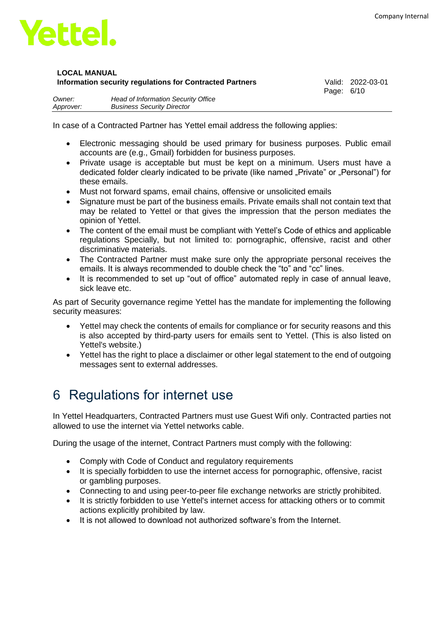

Page: 6/10

| Owner:    | Head of Information Security Office |
|-----------|-------------------------------------|
| Approver: | <b>Business Security Director</b>   |

In case of a Contracted Partner has Yettel email address the following applies:

- Electronic messaging should be used primary for business purposes. Public email accounts are (e.g., Gmail) forbidden for business purposes.
- Private usage is acceptable but must be kept on a minimum. Users must have a dedicated folder clearly indicated to be private (like named "Private" or "Personal") for these emails.
- Must not forward spams, email chains, offensive or unsolicited emails
- Signature must be part of the business emails. Private emails shall not contain text that may be related to Yettel or that gives the impression that the person mediates the opinion of Yettel.
- The content of the email must be compliant with Yettel's Code of ethics and applicable regulations Specially, but not limited to: pornographic, offensive, racist and other discriminative materials.
- The Contracted Partner must make sure only the appropriate personal receives the emails. It is always recommended to double check the "to" and "cc" lines.
- It is recommended to set up "out of office" automated reply in case of annual leave, sick leave etc.

As part of Security governance regime Yettel has the mandate for implementing the following security measures:

- Yettel may check the contents of emails for compliance or for security reasons and this is also accepted by third-party users for emails sent to Yettel. (This is also listed on Yettel's website.)
- Yettel has the right to place a disclaimer or other legal statement to the end of outgoing messages sent to external addresses.

## <span id="page-5-0"></span>6 Regulations for internet use

In Yettel Headquarters, Contracted Partners must use Guest Wifi only. Contracted parties not allowed to use the internet via Yettel networks cable.

During the usage of the internet, Contract Partners must comply with the following:

- Comply with Code of Conduct and regulatory requirements
- It is specially forbidden to use the internet access for pornographic, offensive, racist or gambling purposes.
- Connecting to and using peer-to-peer file exchange networks are strictly prohibited.
- It is strictly forbidden to use Yettel's internet access for attacking others or to commit actions explicitly prohibited by law.
- It is not allowed to download not authorized software's from the Internet.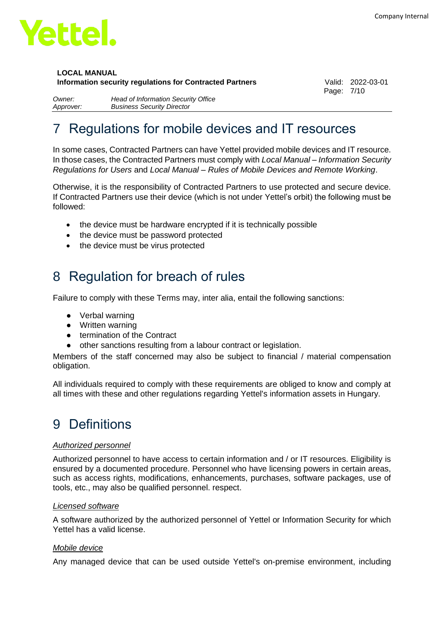

### **LOCAL MANUAL**

**Information security regulations for Contracted Partners** Valid: 2022-03-01

Page: 7/10

*Owner: Head of Information Security Office Approver: Business Security Director*

# <span id="page-6-0"></span>Regulations for mobile devices and IT resources

In some cases, Contracted Partners can have Yettel provided mobile devices and IT resource. In those cases, the Contracted Partners must comply with *Local Manual – Information Security Regulations for Users* and *Local Manual – Rules of Mobile Devices and Remote Working*.

Otherwise, it is the responsibility of Contracted Partners to use protected and secure device. If Contracted Partners use their device (which is not under Yettel's orbit) the following must be followed:

- the device must be hardware encrypted if it is technically possible
- the device must be password protected
- the device must be virus protected

## <span id="page-6-1"></span>8 Regulation for breach of rules

Failure to comply with these Terms may, inter alia, entail the following sanctions:

- Verbal warning
- Written warning
- termination of the Contract
- other sanctions resulting from a labour contract or legislation.

Members of the staff concerned may also be subject to financial / material compensation obligation.

All individuals required to comply with these requirements are obliged to know and comply at all times with these and other regulations regarding Yettel's information assets in Hungary.

# <span id="page-6-2"></span>9 Definitions

#### *Authorized personnel*

Authorized personnel to have access to certain information and / or IT resources. Eligibility is ensured by a documented procedure. Personnel who have licensing powers in certain areas, such as access rights, modifications, enhancements, purchases, software packages, use of tools, etc., may also be qualified personnel. respect.

#### *Licensed software*

A software authorized by the authorized personnel of Yettel or Information Security for which Yettel has a valid license.

#### *Mobile device*

Any managed device that can be used outside Yettel's on-premise environment, including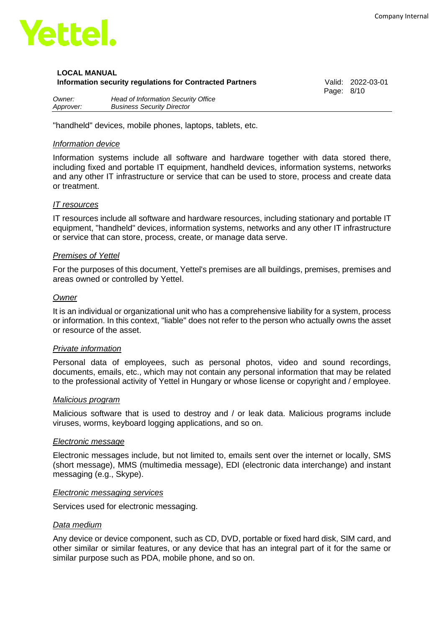

Page: 8/10

*Owner: Head of Information Security Office Approver: Business Security Director*

"handheld" devices, mobile phones, laptops, tablets, etc.

#### *Information device*

Information systems include all software and hardware together with data stored there, including fixed and portable IT equipment, handheld devices, information systems, networks and any other IT infrastructure or service that can be used to store, process and create data or treatment.

#### *IT resources*

IT resources include all software and hardware resources, including stationary and portable IT equipment, "handheld" devices, information systems, networks and any other IT infrastructure or service that can store, process, create, or manage data serve.

#### *Premises of Yettel*

For the purposes of this document, Yettel's premises are all buildings, premises, premises and areas owned or controlled by Yettel.

#### *Owner*

It is an individual or organizational unit who has a comprehensive liability for a system, process or information. In this context, "liable" does not refer to the person who actually owns the asset or resource of the asset.

#### *Private information*

Personal data of employees, such as personal photos, video and sound recordings, documents, emails, etc., which may not contain any personal information that may be related to the professional activity of Yettel in Hungary or whose license or copyright and / employee.

#### *Malicious program*

Malicious software that is used to destroy and / or leak data. Malicious programs include viruses, worms, keyboard logging applications, and so on.

#### *Electronic message*

Electronic messages include, but not limited to, emails sent over the internet or locally, SMS (short message), MMS (multimedia message), EDI (electronic data interchange) and instant messaging (e.g., Skype).

#### *Electronic messaging services*

Services used for electronic messaging.

#### *Data medium*

Any device or device component, such as CD, DVD, portable or fixed hard disk, SIM card, and other similar or similar features, or any device that has an integral part of it for the same or similar purpose such as PDA, mobile phone, and so on.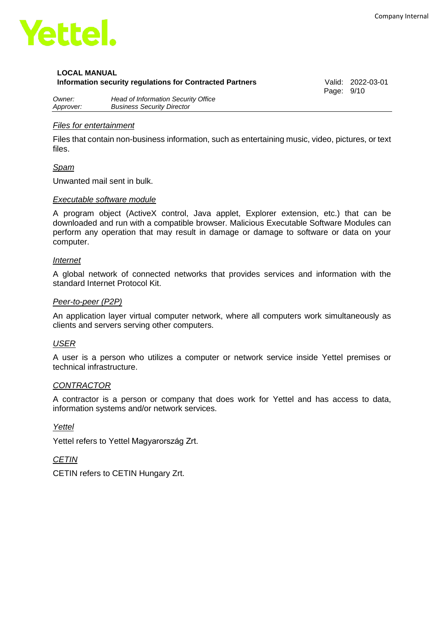

Page: 9/10

*Owner: Head of Information Security Office Approver: Business Security Director*

#### *Files for entertainment*

Files that contain non-business information, such as entertaining music, video, pictures, or text files.

#### *Spam*

Unwanted mail sent in bulk.

#### *Executable software module*

A program object (ActiveX control, Java applet, Explorer extension, etc.) that can be downloaded and run with a compatible browser. Malicious Executable Software Modules can perform any operation that may result in damage or damage to software or data on your computer.

#### *Internet*

A global network of connected networks that provides services and information with the standard Internet Protocol Kit.

#### *Peer-to-peer (P2P)*

An application layer virtual computer network, where all computers work simultaneously as clients and servers serving other computers.

#### *USER*

A user is a person who utilizes a computer or network service inside Yettel premises or technical infrastructure.

#### *CONTRACTOR*

A contractor is a person or company that does work for Yettel and has access to data, information systems and/or network services.

#### *Yettel*

Yettel refers to Yettel Magyarország Zrt.

#### *CETIN*

<span id="page-8-0"></span>CETIN refers to CETIN Hungary Zrt.